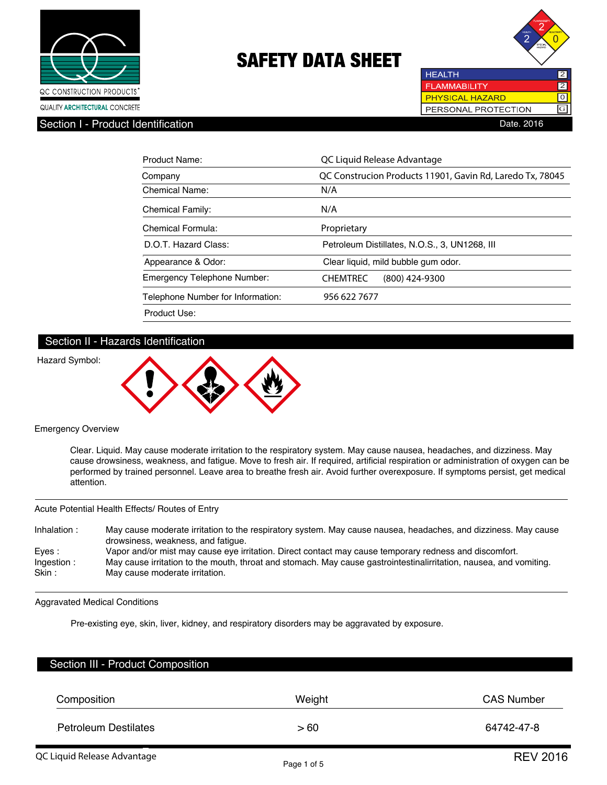



Section I - Product Identification

| <b>HEALTH</b>          |  |
|------------------------|--|
| <b>FLAMMABILITY</b>    |  |
| <b>PHYSICAL HAZARD</b> |  |
| PERSONAL PROTECTION    |  |
| Date. 2016             |  |

| Product Name:                     | QC Liquid Release Advantage                               |
|-----------------------------------|-----------------------------------------------------------|
| Company                           | QC Construcion Products 11901, Gavin Rd, Laredo Tx, 78045 |
| Chemical Name:                    | N/A                                                       |
| <b>Chemical Family:</b>           | N/A                                                       |
| Chemical Formula:                 | Proprietary                                               |
| D.O.T. Hazard Class:              | Petroleum Distillates, N.O.S., 3, UN1268, III             |
| Appearance & Odor:                | Clear liquid, mild bubble gum odor.                       |
| Emergency Telephone Number:       | <b>CHEMTREC</b><br>(800) 424-9300                         |
| Telephone Number for Information: | 956 622 7677                                              |
| Product Use:                      |                                                           |

# Section II - Hazards Identification

#### Hazard Symbol:



#### Emergency Overview

Clear. Liquid. May cause moderate irritation to the respiratory system. May cause nausea, headaches, and dizziness. May cause drowsiness, weakness, and fatigue. Move to fresh air. If required, artificial respiration or administration of oxygen can be performed by trained personnel. Leave area to breathe fresh air. Avoid further overexposure. If symptoms persist, get medical attention.

#### Acute Potential Health Effects/ Routes of Entry

| Inhalation:         | May cause moderate irritation to the respiratory system. May cause nausea, headaches, and dizziness. May cause<br>drowsiness, weakness, and fatique. |
|---------------------|------------------------------------------------------------------------------------------------------------------------------------------------------|
| Eves:               | Vapor and/or mist may cause eye irritation. Direct contact may cause temporary redness and discomfort.                                               |
| Ingestion:<br>Skin: | May cause irritation to the mouth, throat and stomach. May cause gastrointestinalirritation, nausea, and vomiting.<br>May cause moderate irritation. |
|                     |                                                                                                                                                      |

Aggravated Medical Conditions

Pre-existing eye, skin, liver, kidney, and respiratory disorders may be aggravated by exposure.

| Section III - Product Composition |        |                     |
|-----------------------------------|--------|---------------------|
| Composition                       | Weight | <b>CAS Number</b>   |
| <b>Petroleum Destilates</b>       | >60    | 64742-47-8          |
| OC Liquid Poloaco Advantago       |        | P <sub>1</sub> 004c |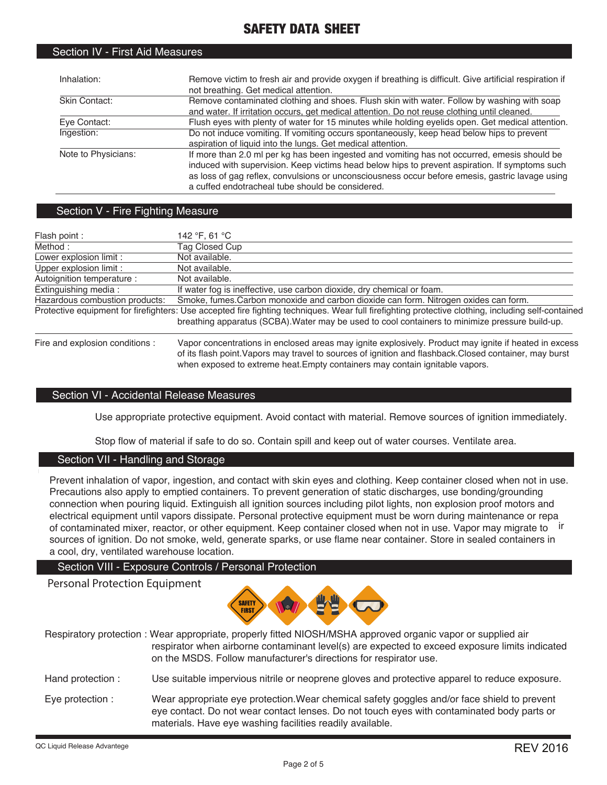| Inhalation:         | Remove victim to fresh air and provide oxygen if breathing is difficult. Give artificial respiration if<br>not breathing. Get medical attention.                                                                                                                                                                                                      |
|---------------------|-------------------------------------------------------------------------------------------------------------------------------------------------------------------------------------------------------------------------------------------------------------------------------------------------------------------------------------------------------|
| Skin Contact:       | Remove contaminated clothing and shoes. Flush skin with water. Follow by washing with soap<br>and water. If irritation occurs, get medical attention. Do not reuse clothing until cleaned.                                                                                                                                                            |
| Eve Contact:        | Flush eyes with plenty of water for 15 minutes while holding eyelids open. Get medical attention.                                                                                                                                                                                                                                                     |
| Ingestion:          | Do not induce vomiting. If vomiting occurs spontaneously, keep head below hips to prevent<br>aspiration of liquid into the lungs. Get medical attention.                                                                                                                                                                                              |
| Note to Physicians: | If more than 2.0 ml per kg has been ingested and vomiting has not occurred, emesis should be<br>induced with supervision. Keep victims head below hips to prevent aspiration. If symptoms such<br>as loss of gag reflex, convulsions or unconsciousness occur before emesis, gastric lavage using<br>a cuffed endotracheal tube should be considered. |

# Section V - Fire Fighting Measure

Section IV - First Aid Measures

| Flash point :                   | 142 °F, 61 °C                                                                                                                                                                                                                                         |
|---------------------------------|-------------------------------------------------------------------------------------------------------------------------------------------------------------------------------------------------------------------------------------------------------|
| Method:                         | Tag Closed Cup                                                                                                                                                                                                                                        |
| Lower explosion limit :         | Not available.                                                                                                                                                                                                                                        |
| Upper explosion limit :         | Not available.                                                                                                                                                                                                                                        |
| Autoignition temperature :      | Not available.                                                                                                                                                                                                                                        |
| Extinguishing media:            | If water fog is ineffective, use carbon dioxide, dry chemical or foam.                                                                                                                                                                                |
| Hazardous combustion products:  | Smoke, fumes. Carbon monoxide and carbon dioxide can form. Nitrogen oxides can form.                                                                                                                                                                  |
|                                 | Protective equipment for firefighters: Use accepted fire fighting techniques. Wear full firefighting protective clothing, including self-contained<br>breathing apparatus (SCBA). Water may be used to cool containers to minimize pressure build-up. |
| Fire and explosion conditions : | Vapor concentrations in enclosed areas may ignite explosively. Product may ignite if heated in excess<br>af ita flagh maint Manava masu tuaughta agusana af innition and flaghhagh. Classel santainar, masu buyat,                                    |

 of its flash point.Vapors may travel to sources of ignition and flashback.Closed container, may burst when exposed to extreme heat.Empty containers may contain ignitable vapors.

# Section VI - Accidental Release Measures

Use appropriate protective equipment. Avoid contact with material. Remove sources of ignition immediately.

Stop flow of material if safe to do so. Contain spill and keep out of water courses. Ventilate area.

# Section VII - Handling and Storage

Prevent inhalation of vapor, ingestion, and contact with skin eyes and clothing. Keep container closed when not in use. Precautions also apply to emptied containers. To prevent generation of static discharges, use bonding/grounding connection when pouring liquid. Extinguish all ignition sources including pilot lights, non explosion proof motors and electrical equipment until vapors dissipate. Personal protective equipment must be worn during maintenance or repa of contaminated mixer, reactor, or other equipment. Keep container closed when not in use. Vapor may migrate to ir sources of ignition. Do not smoke, weld, generate sparks, or use flame near container. Store in sealed containers in a cool, dry, ventilated warehouse location.

# Section VIII - Exposure Controls / Personal Protection

# Personal Protection Equipment



Respiratory protection : Wear appropriate, properly fitted NIOSH/MSHA approved organic vapor or supplied air respirator when airborne contaminant level(s) are expected to exceed exposure limits indicated on the MSDS. Follow manufacturer's directions for respirator use.

- Hand protection : Use suitable impervious nitrile or neoprene gloves and protective apparel to reduce exposure.
- Eye protection : Wear appropriate eye protection.Wear chemical safety goggles and/or face shield to prevent eye contact. Do not wear contact lenses. Do not touch eyes with contaminated body parts or materials. Have eye washing facilities readily available.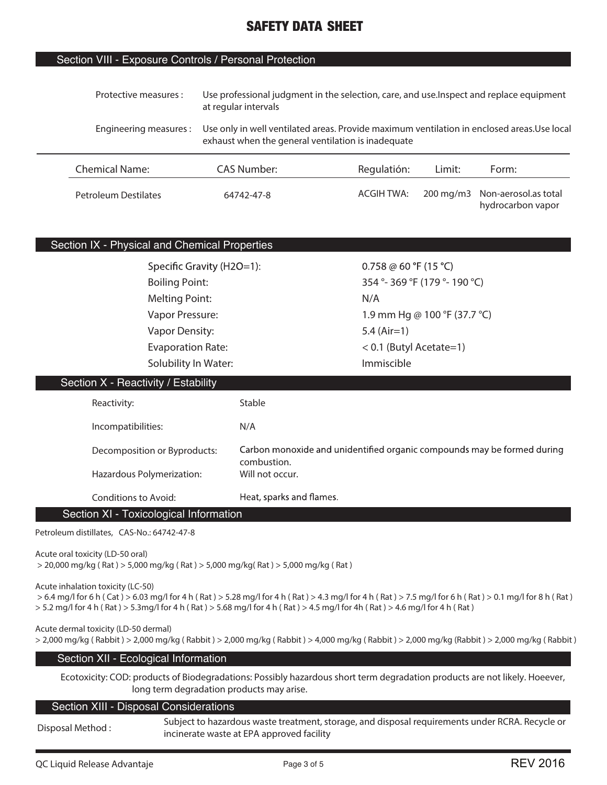# Section VIII - Exposure Controls / Personal Protection

| Protective measures :       | at regular intervals                               | Use professional judgment in the selection, care, and use. Inspect and replace equipment    |        |                                                     |  |
|-----------------------------|----------------------------------------------------|---------------------------------------------------------------------------------------------|--------|-----------------------------------------------------|--|
| Engineering measures:       | exhaust when the general ventilation is inadequate | Use only in well ventilated areas. Provide maximum ventilation in enclosed areas. Use local |        |                                                     |  |
| <b>Chemical Name:</b>       | CAS Number:                                        | Regulatión:                                                                                 | Limit: | Form:                                               |  |
| <b>Petroleum Destilates</b> | 64742-47-8                                         | <b>ACGIH TWA:</b>                                                                           |        | 200 mg/m3 Non-aerosol.as total<br>hydrocarbon vapor |  |

# Section IX - Physical and Chemical Properties

Specific Gravity (H2O=1): Melting Point: N/A **Vapor Density: 5.4 (Air=1) Evaporation Rate: < 0.1 (Butyl Acetate=1) Solubility In Water:** Immiscible

0.758 @ 60 °F (15 °C) **Boiling Point: 354 °- 369 °F (179 °- 190 °C) Vapor Pressure: 1.9 mm Hg @ 100 °F (37.7 °C)** 

# Section X - Reactivity / Estability

| Reactivity:                  | <b>Stable</b>                                                                          |
|------------------------------|----------------------------------------------------------------------------------------|
| Incompatibilities:           | N/A                                                                                    |
| Decomposition or Byproducts: | Carbon monoxide and unidentified organic compounds may be formed during<br>combustion. |
| Hazardous Polymerization:    | Will not occur.                                                                        |
| Conditions to Avoid:         | Heat, sparks and flames.                                                               |

Section XI - Toxicological Information

**Petroleum distillates, CAS-No.: 64742-47-8**

**Acute oral toxicity (LD-50 oral)**

 **> 20,000 mg/kg ( Rat ) > 5,000 mg/kg ( Rat ) > 5,000 mg/kg( Rat ) > 5,000 mg/kg ( Rat )**

**Acute inhalation toxicity (LC-50)**

 **> 6.4 mg/l for 6 h ( Cat ) > 6.03 mg/l for 4 h ( Rat ) > 5.28 mg/l for 4 h ( Rat ) > 4.3 mg/l for 4 h ( Rat ) > 7.5 mg/l for 6 h ( Rat ) > 0.1 mg/l for 8 h ( Rat ) > 5.2 mg/l for 4 h ( Rat ) > 5.3mg/l for 4 h ( Rat ) > 5.68 mg/l for 4 h ( Rat ) > 4.5 mg/l for 4h ( Rat ) > 4.6 mg/l for 4 h ( Rat )**

**Acute dermal toxicity (LD-50 dermal)**

**> 2,000 mg/kg ( Rabbit ) > 2,000 mg/kg ( Rabbit ) > 2,000 mg/kg ( Rabbit ) > 4,000 mg/kg ( Rabbit ) > 2,000 mg/kg (Rabbit ) > 2,000 mg/kg ( Rabbit )**

#### Section XII - Ecological Information

**Ecotoxicity: COD: products of Biodegradations: Possibly hazardous short term degradation products are not likely. Hoeever, long term degradation products may arise.**

#### Section XIII - Disposal Considerations

**Disposal Method :** 

**Subject to hazardous waste treatment, storage, and disposal requirements under RCRA. Recycle or incinerate waste at EPA approved facility**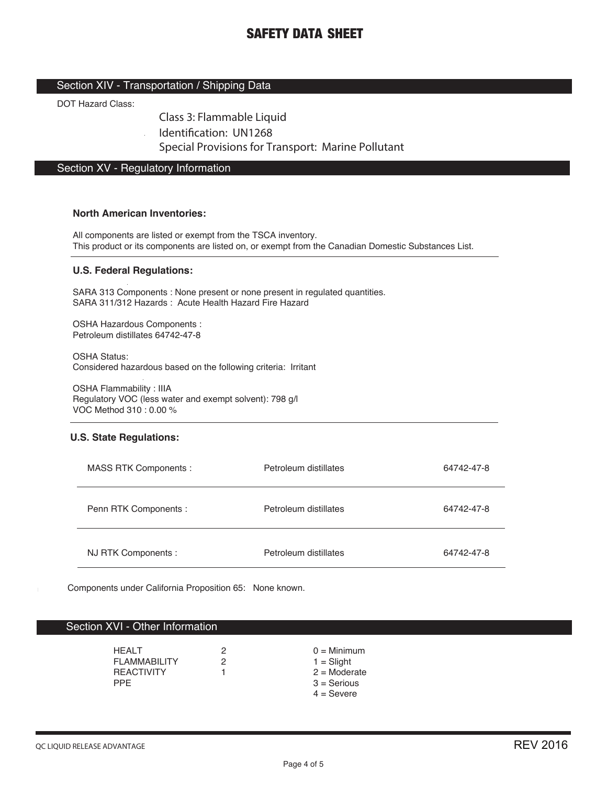# Section XIV - Transportation / Shipping Data

DOT Hazard Class:

Class 3: Flammable Liquid

Identification: UN1268

Special Provisions for Transport: Marine Pollutant

# Section XV - Regulatory Information

#### **North American Inventories:**

All components are listed or exempt from the TSCA inventory. This product or its components are listed on, or exempt from the Canadian Domestic Substances List.

#### **U.S. Federal Regulations:**

SARA 313 Components : None present or none present in regulated quantities. SARA 311/312 Hazards : Acute Health Hazard Fire Hazard

OSHA Hazardous Components : Petroleum distillates 64742-47-8

OSHA Status: Considered hazardous based on the following criteria: Irritant

OSHA Flammability : IIIA Regulatory VOC (less water and exempt solvent): 798 g/l VOC Method 310 : 0.00 %

#### **U.S. State Regulations:**

| MASS RTK Components : | Petroleum distillates | 64742-47-8 |
|-----------------------|-----------------------|------------|
| Penn RTK Components : | Petroleum distillates | 64742-47-8 |
| NJ RTK Components :   | Petroleum distillates | 64742-47-8 |

Components under California Proposition 65: None known.

### Section XVI - Other Information

| <b>HFAIT</b>          | 2 | $0 =$ Minimum  |
|-----------------------|---|----------------|
| <b>FI AMMARII ITY</b> | 2 | $1 =$ Slight   |
| <b>REACTIVITY</b>     |   | $2 =$ Moderate |
| PPF.                  |   | $3 =$ Serious  |
|                       |   | $4 =$ Severe   |
|                       |   |                |